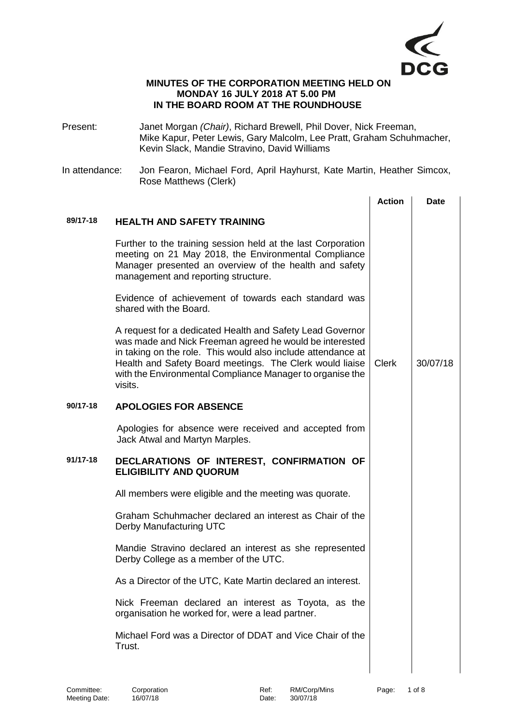

## **MINUTES OF THE CORPORATION MEETING HELD ON MONDAY 16 JULY 2018 AT 5.00 PM IN THE BOARD ROOM AT THE ROUNDHOUSE**

- Present: Janet Morgan *(Chair)*, Richard Brewell, Phil Dover, Nick Freeman, Mike Kapur, Peter Lewis, Gary Malcolm, Lee Pratt, Graham Schuhmacher, Kevin Slack, Mandie Stravino, David Williams
- In attendance: Jon Fearon, Michael Ford, April Hayhurst, Kate Martin, Heather Simcox, Rose Matthews (Clerk)

|              |                                                                                                                                                                                                                                                                                                                          | <b>Action</b> | <b>Date</b> |
|--------------|--------------------------------------------------------------------------------------------------------------------------------------------------------------------------------------------------------------------------------------------------------------------------------------------------------------------------|---------------|-------------|
| 89/17-18     | <b>HEALTH AND SAFETY TRAINING</b>                                                                                                                                                                                                                                                                                        |               |             |
|              | Further to the training session held at the last Corporation<br>meeting on 21 May 2018, the Environmental Compliance<br>Manager presented an overview of the health and safety<br>management and reporting structure.                                                                                                    |               |             |
|              | Evidence of achievement of towards each standard was<br>shared with the Board.                                                                                                                                                                                                                                           |               |             |
|              | A request for a dedicated Health and Safety Lead Governor<br>was made and Nick Freeman agreed he would be interested<br>in taking on the role. This would also include attendance at<br>Health and Safety Board meetings. The Clerk would liaise<br>with the Environmental Compliance Manager to organise the<br>visits. | <b>Clerk</b>  | 30/07/18    |
| 90/17-18     | <b>APOLOGIES FOR ABSENCE</b>                                                                                                                                                                                                                                                                                             |               |             |
|              | Apologies for absence were received and accepted from<br>Jack Atwal and Martyn Marples.                                                                                                                                                                                                                                  |               |             |
| $91/17 - 18$ | DECLARATIONS OF INTEREST, CONFIRMATION OF<br><b>ELIGIBILITY AND QUORUM</b>                                                                                                                                                                                                                                               |               |             |
|              | All members were eligible and the meeting was quorate.                                                                                                                                                                                                                                                                   |               |             |
|              | Graham Schuhmacher declared an interest as Chair of the<br>Derby Manufacturing UTC                                                                                                                                                                                                                                       |               |             |
|              | Mandie Stravino declared an interest as she represented<br>Derby College as a member of the UTC.                                                                                                                                                                                                                         |               |             |
|              | As a Director of the UTC, Kate Martin declared an interest.                                                                                                                                                                                                                                                              |               |             |
|              | Nick Freeman declared an interest as Toyota, as the<br>organisation he worked for, were a lead partner.                                                                                                                                                                                                                  |               |             |
|              | Michael Ford was a Director of DDAT and Vice Chair of the<br>Trust.                                                                                                                                                                                                                                                      |               |             |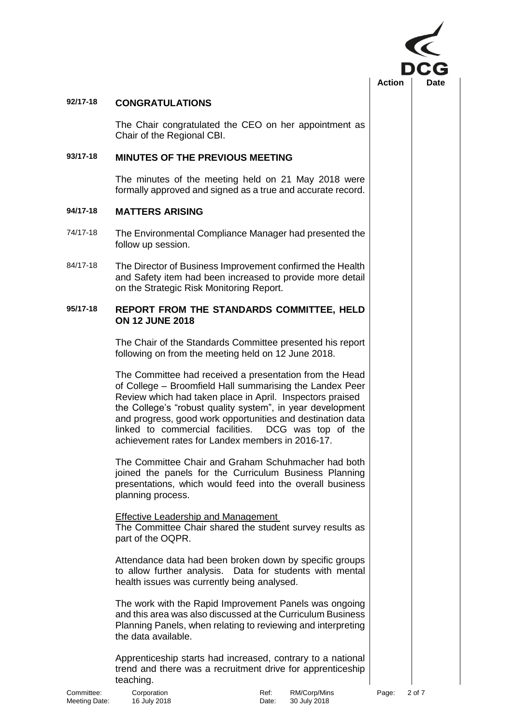

## **92/17-18 CONGRATULATIONS**

The Chair congratulated the CEO on her appointment as Chair of the Regional CBI.

### **93/17-18 MINUTES OF THE PREVIOUS MEETING**

The minutes of the meeting held on 21 May 2018 were formally approved and signed as a true and accurate record.

# **94/17-18 MATTERS ARISING**

- 74/17-18 The Environmental Compliance Manager had presented the follow up session.
- 84/17-18 The Director of Business Improvement confirmed the Health and Safety item had been increased to provide more detail on the Strategic Risk Monitoring Report.

#### **95/17-18 REPORT FROM THE STANDARDS COMMITTEE, HELD ON 12 JUNE 2018**

The Chair of the Standards Committee presented his report following on from the meeting held on 12 June 2018.

The Committee had received a presentation from the Head of College – Broomfield Hall summarising the Landex Peer Review which had taken place in April. Inspectors praised the College's "robust quality system", in year development and progress, good work opportunities and destination data linked to commercial facilities. DCG was top of the achievement rates for Landex members in 2016-17.

The Committee Chair and Graham Schuhmacher had both joined the panels for the Curriculum Business Planning presentations, which would feed into the overall business planning process.

Effective Leadership and Management The Committee Chair shared the student survey results as part of the OQPR.

Attendance data had been broken down by specific groups to allow further analysis. Data for students with mental health issues was currently being analysed.

The work with the Rapid Improvement Panels was ongoing and this area was also discussed at the Curriculum Business Planning Panels, when relating to reviewing and interpreting the data available.

Apprenticeship starts had increased, contrary to a national trend and there was a recruitment drive for apprenticeship teaching.

Committee: Corporation Committee: Corporation Ref: RM/Corp/Mins Page: 2 of 7<br>
Meeting Date: 16 July 2018 Cate: 30 July 2018 Meeting Date: 16 July 2018 **Date:** 31 Date: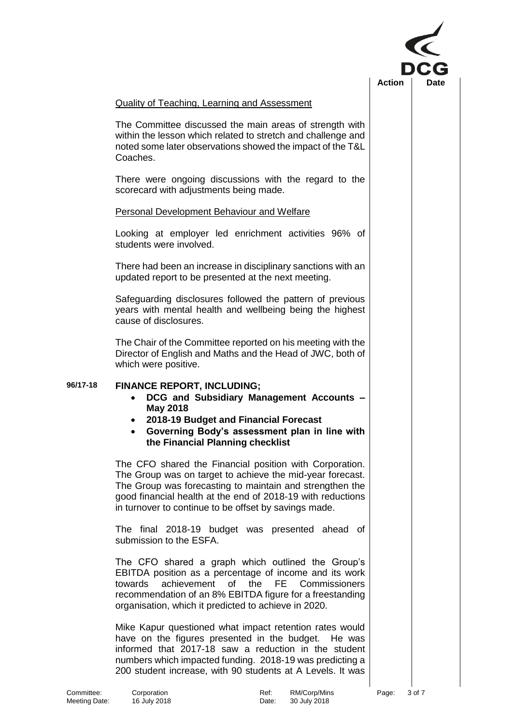

### Quality of Teaching, Learning and Assessment

The Committee discussed the main areas of strength with within the lesson which related to stretch and challenge and noted some later observations showed the impact of the T&L Coaches.

There were ongoing discussions with the regard to the scorecard with adjustments being made.

#### Personal Development Behaviour and Welfare

Looking at employer led enrichment activities 96% of students were involved.

There had been an increase in disciplinary sanctions with an updated report to be presented at the next meeting.

Safeguarding disclosures followed the pattern of previous years with mental health and wellbeing being the highest cause of disclosures.

The Chair of the Committee reported on his meeting with the Director of English and Maths and the Head of JWC, both of which were positive.

# **96/17-18 FINANCE REPORT, INCLUDING;**

- **DCG and Subsidiary Management Accounts – May 2018**
- **2018-19 Budget and Financial Forecast**
- **Governing Body's assessment plan in line with the Financial Planning checklist**

The CFO shared the Financial position with Corporation. The Group was on target to achieve the mid-year forecast. The Group was forecasting to maintain and strengthen the good financial health at the end of 2018-19 with reductions in turnover to continue to be offset by savings made.

The final 2018-19 budget was presented ahead of submission to the ESFA.

The CFO shared a graph which outlined the Group's EBITDA position as a percentage of income and its work towards achievement of the FE Commissioners recommendation of an 8% EBITDA figure for a freestanding organisation, which it predicted to achieve in 2020.

Mike Kapur questioned what impact retention rates would have on the figures presented in the budget. He was informed that 2017-18 saw a reduction in the student numbers which impacted funding. 2018-19 was predicting a 200 student increase, with 90 students at A Levels. It was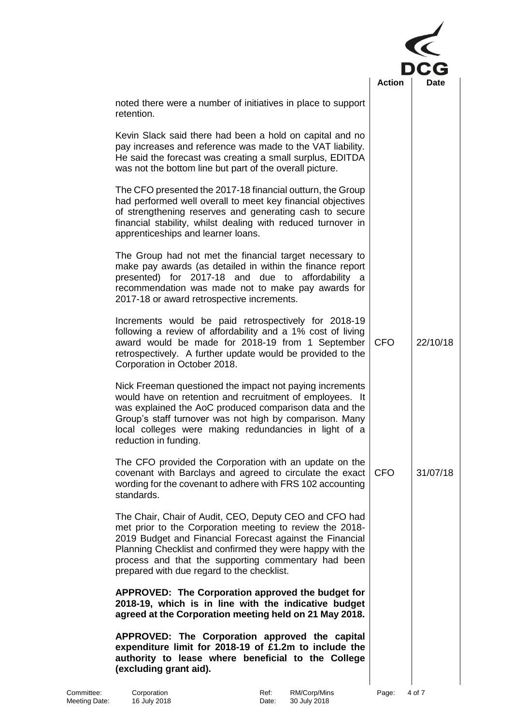|                                                                                                                                                                                                                                                                                                                                                  | <b>Action</b> | Date     |  |
|--------------------------------------------------------------------------------------------------------------------------------------------------------------------------------------------------------------------------------------------------------------------------------------------------------------------------------------------------|---------------|----------|--|
| noted there were a number of initiatives in place to support<br>retention.                                                                                                                                                                                                                                                                       |               |          |  |
| Kevin Slack said there had been a hold on capital and no<br>pay increases and reference was made to the VAT liability.<br>He said the forecast was creating a small surplus, EDITDA<br>was not the bottom line but part of the overall picture.                                                                                                  |               |          |  |
| The CFO presented the 2017-18 financial outturn, the Group<br>had performed well overall to meet key financial objectives<br>of strengthening reserves and generating cash to secure<br>financial stability, whilst dealing with reduced turnover in<br>apprenticeships and learner loans.                                                       |               |          |  |
| The Group had not met the financial target necessary to<br>make pay awards (as detailed in within the finance report<br>for 2017-18 and<br>affordability a<br>presented)<br>due to<br>recommendation was made not to make pay awards for<br>2017-18 or award retrospective increments.                                                           |               |          |  |
| Increments would be paid retrospectively for 2018-19<br>following a review of affordability and a 1% cost of living<br>award would be made for 2018-19 from 1 September<br>retrospectively. A further update would be provided to the<br>Corporation in October 2018.                                                                            | <b>CFO</b>    | 22/10/18 |  |
| Nick Freeman questioned the impact not paying increments<br>would have on retention and recruitment of employees. It<br>was explained the AoC produced comparison data and the<br>Group's staff turnover was not high by comparison. Many<br>local colleges were making redundancies in light of a<br>reduction in funding.                      |               |          |  |
| The CFO provided the Corporation with an update on the<br>covenant with Barclays and agreed to circulate the exact<br>wording for the covenant to adhere with FRS 102 accounting<br>standards.                                                                                                                                                   | <b>CFO</b>    | 31/07/18 |  |
| The Chair, Chair of Audit, CEO, Deputy CEO and CFO had<br>met prior to the Corporation meeting to review the 2018-<br>2019 Budget and Financial Forecast against the Financial<br>Planning Checklist and confirmed they were happy with the<br>process and that the supporting commentary had been<br>prepared with due regard to the checklist. |               |          |  |
| APPROVED: The Corporation approved the budget for<br>2018-19, which is in line with the indicative budget<br>agreed at the Corporation meeting held on 21 May 2018.                                                                                                                                                                              |               |          |  |
| APPROVED: The Corporation approved the capital<br>expenditure limit for 2018-19 of £1.2m to include the<br>authority to lease where beneficial to the College                                                                                                                                                                                    |               |          |  |

**(excluding grant aid).**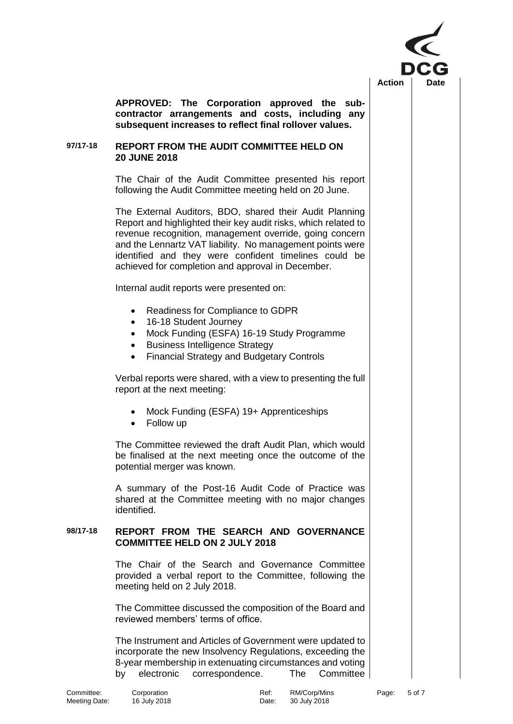

**APPROVED: The Corporation approved the subcontractor arrangements and costs, including any subsequent increases to reflect final rollover values.**

#### **97/17-18 REPORT FROM THE AUDIT COMMITTEE HELD ON 20 JUNE 2018**

The Chair of the Audit Committee presented his report following the Audit Committee meeting held on 20 June.

The External Auditors, BDO, shared their Audit Planning Report and highlighted their key audit risks, which related to revenue recognition, management override, going concern and the Lennartz VAT liability. No management points were identified and they were confident timelines could be achieved for completion and approval in December.

Internal audit reports were presented on:

- Readiness for Compliance to GDPR
- 16-18 Student Journey
- Mock Funding (ESFA) 16-19 Study Programme
- Business Intelligence Strategy
- Financial Strategy and Budgetary Controls

Verbal reports were shared, with a view to presenting the full report at the next meeting:

- Mock Funding (ESFA) 19+ Apprenticeships
- Follow up

The Committee reviewed the draft Audit Plan, which would be finalised at the next meeting once the outcome of the potential merger was known.

A summary of the Post-16 Audit Code of Practice was shared at the Committee meeting with no major changes identified.

### **98/17-18 REPORT FROM THE SEARCH AND GOVERNANCE COMMITTEE HELD ON 2 JULY 2018**

The Chair of the Search and Governance Committee provided a verbal report to the Committee, following the meeting held on 2 July 2018.

The Committee discussed the composition of the Board and reviewed members' terms of office.

The Instrument and Articles of Government were updated to incorporate the new Insolvency Regulations, exceeding the 8-year membership in extenuating circumstances and voting by electronic correspondence. The Committee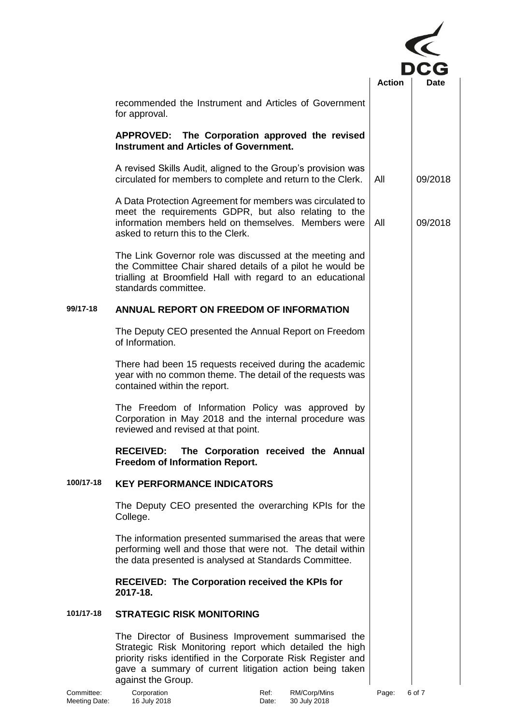

|           | recommended the Instrument and Articles of Government<br>for approval.                                                                                                                                                                                           |     |         |
|-----------|------------------------------------------------------------------------------------------------------------------------------------------------------------------------------------------------------------------------------------------------------------------|-----|---------|
|           | APPROVED: The Corporation approved the revised<br><b>Instrument and Articles of Government.</b>                                                                                                                                                                  |     |         |
|           | A revised Skills Audit, aligned to the Group's provision was<br>circulated for members to complete and return to the Clerk.                                                                                                                                      | All | 09/2018 |
|           | A Data Protection Agreement for members was circulated to<br>meet the requirements GDPR, but also relating to the<br>information members held on themselves. Members were<br>asked to return this to the Clerk.                                                  | All | 09/2018 |
|           | The Link Governor role was discussed at the meeting and<br>the Committee Chair shared details of a pilot he would be<br>trialling at Broomfield Hall with regard to an educational<br>standards committee.                                                       |     |         |
| 99/17-18  | ANNUAL REPORT ON FREEDOM OF INFORMATION                                                                                                                                                                                                                          |     |         |
|           | The Deputy CEO presented the Annual Report on Freedom<br>of Information.                                                                                                                                                                                         |     |         |
|           | There had been 15 requests received during the academic<br>year with no common theme. The detail of the requests was<br>contained within the report.                                                                                                             |     |         |
|           | The Freedom of Information Policy was approved by<br>Corporation in May 2018 and the internal procedure was<br>reviewed and revised at that point.                                                                                                               |     |         |
|           | The Corporation received the Annual<br><b>RECEIVED:</b><br><b>Freedom of Information Report.</b>                                                                                                                                                                 |     |         |
| 100/17-18 | <b>KEY PERFORMANCE INDICATORS</b>                                                                                                                                                                                                                                |     |         |
|           | The Deputy CEO presented the overarching KPIs for the<br>College.                                                                                                                                                                                                |     |         |
|           | The information presented summarised the areas that were<br>performing well and those that were not. The detail within<br>the data presented is analysed at Standards Committee.                                                                                 |     |         |
|           | <b>RECEIVED: The Corporation received the KPIs for</b><br>2017-18.                                                                                                                                                                                               |     |         |
| 101/17-18 | <b>STRATEGIC RISK MONITORING</b>                                                                                                                                                                                                                                 |     |         |
|           | The Director of Business Improvement summarised the<br>Strategic Risk Monitoring report which detailed the high<br>priority risks identified in the Corporate Risk Register and<br>gave a summary of current litigation action being taken<br>against the Group. |     |         |

Committee: Corporation Ref: RM/Corp/Mins Page: 6 of 7